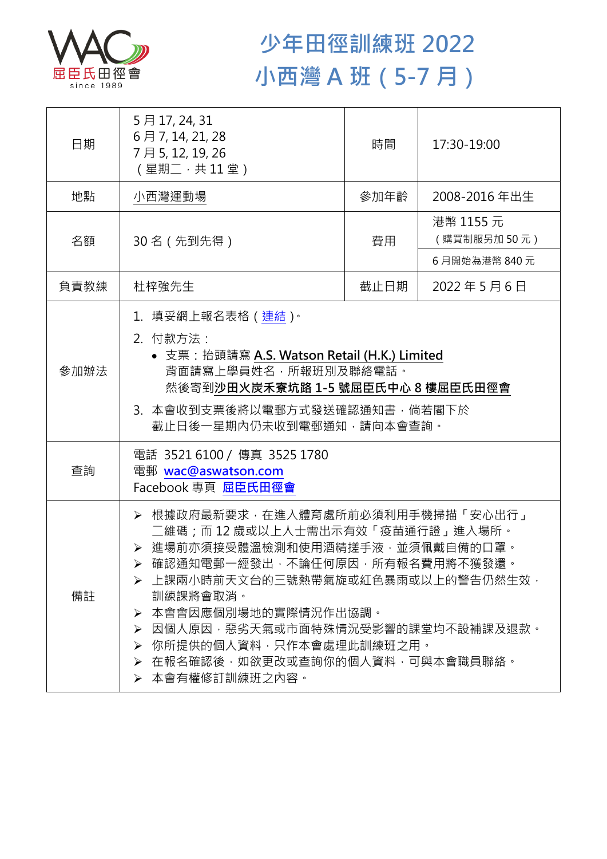

## **少年田徑訓練班 2022 小西灣 A 班(5-7 月)**

| 日期   | 5月17, 24, 31<br>6月7, 14, 21, 28<br>7月5,12,19,26<br>(星期二,共11堂)                                                                                                                                                                                                                                                                                              | 時間   | 17:30-19:00              |  |
|------|------------------------------------------------------------------------------------------------------------------------------------------------------------------------------------------------------------------------------------------------------------------------------------------------------------------------------------------------------------|------|--------------------------|--|
| 地點   | 小西灣運動場                                                                                                                                                                                                                                                                                                                                                     | 參加年齡 | 2008-2016年出生             |  |
| 名額   | 30名 (先到先得)                                                                                                                                                                                                                                                                                                                                                 | 費用   | 港幣 1155 元<br>(購買制服另加50元) |  |
|      |                                                                                                                                                                                                                                                                                                                                                            |      | 6月開始為港幣 840元             |  |
| 負責教練 | 杜梓強先生                                                                                                                                                                                                                                                                                                                                                      | 截止日期 | 2022年5月6日                |  |
| 參加辦法 | 1.填妥網上報名表格(連結) <sup>。</sup><br>2. 付款方法:<br>• 支票: 抬頭請寫 A.S. Watson Retail (H.K.) Limited<br>背面請寫上學員姓名,所報班別及聯絡電話。<br>然後寄到沙田火炭禾寮坑路 1-5 號屈臣氏中心 8 樓屈臣氏田徑會<br>3.本會收到支票後將以電郵方式發送確認通知書,倘若閣下於<br>截止日後一星期內仍未收到電郵通知,請向本會查詢。                                                                                                                                           |      |                          |  |
| 查詢   | 電話 3521 6100 / 傳真 3525 1780<br>電郵 wac@aswatson.com<br>Facebook 專頁 屈臣氏田徑會                                                                                                                                                                                                                                                                                   |      |                          |  |
| 備註   | > 根據政府最新要求,在進入體育處所前必須利用手機掃描「安心出行」<br>二維碼;而12歳或以上人士需出示有效「疫苗通行證」進入場所。<br>> 進場前亦須接受體溫檢測和使用酒精搓手液·並須佩戴自備的口罩。<br>確認通知電郵一經發出,不論任何原因,所有報名費用將不獲發還。<br>▶ 上課兩小時前天文台的三號熱帶氣旋或紅色暴雨或以上的警告仍然生效,<br>訓練課將會取消。<br>本會會因應個別場地的實際情況作出協調。<br>➤<br>因個人原因,惡劣天氣或市面特殊情況受影響的課堂均不設補課及退款。<br>➤<br>你所提供的個人資料,只作本會處理此訓練班之用。<br>➤<br>在報名確認後,如欲更改或查詢你的個人資料,可與本會職員聯絡。<br>≻<br>➢ 本會有權修訂訓練班之內容。 |      |                          |  |